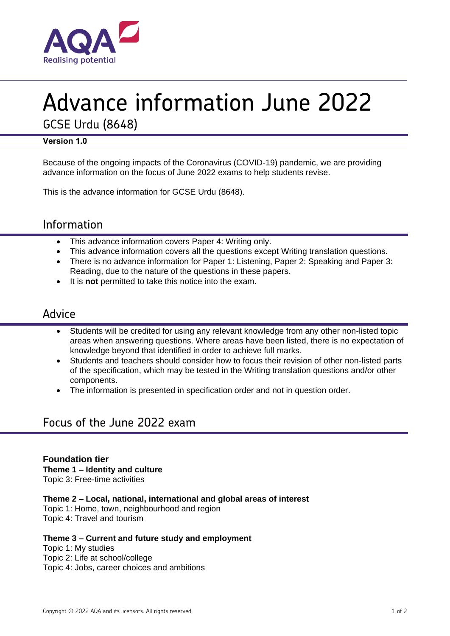

# Advance information June 2022

GCSE Urdu (8648)

#### **Version 1.0**

Because of the ongoing impacts of the Coronavirus (COVID-19) pandemic, we are providing advance information on the focus of June 2022 exams to help students revise.

This is the advance information for GCSE Urdu (8648).

## Information

- This advance information covers Paper 4: Writing only.
- This advance information covers all the questions except Writing translation questions.
- There is no advance information for Paper 1: Listening, Paper 2: Speaking and Paper 3: Reading, due to the nature of the questions in these papers.
- It is **not** permitted to take this notice into the exam.

### Advice

- Students will be credited for using any relevant knowledge from any other non-listed topic areas when answering questions. Where areas have been listed, there is no expectation of knowledge beyond that identified in order to achieve full marks.
- Students and teachers should consider how to focus their revision of other non-listed parts of the specification, which may be tested in the Writing translation questions and/or other components.
- The information is presented in specification order and not in question order.

## Focus of the June 2022 exam

**Foundation tier Theme 1 – Identity and culture** Topic 3: Free-time activities

**Theme 2 – Local, national, international and global areas of interest**

Topic 1: Home, town, neighbourhood and region Topic 4: Travel and tourism

#### **Theme 3 – Current and future study and employment**

Topic 1: My studies Topic 2: Life at school/college Topic 4: Jobs, career choices and ambitions